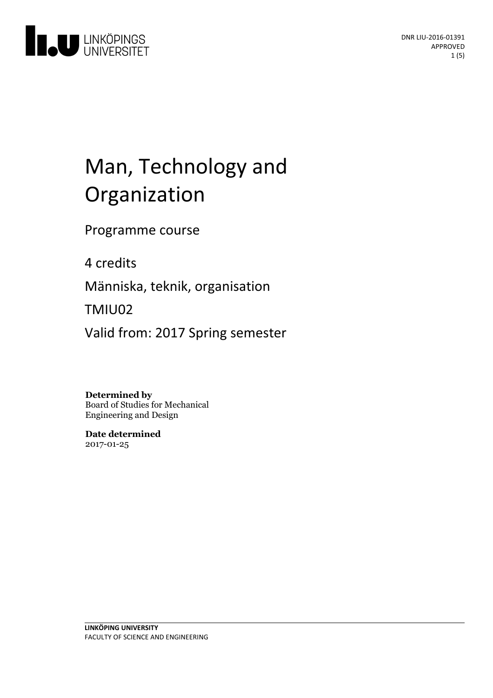

# Man, Technology and Organization

Programme course

4 credits

Människa, teknik, organisation

TMIU02

Valid from: 2017 Spring semester

#### **Determined by**

Board of Studies for Mechanical Engineering and Design

**Date determined** 2017-01-25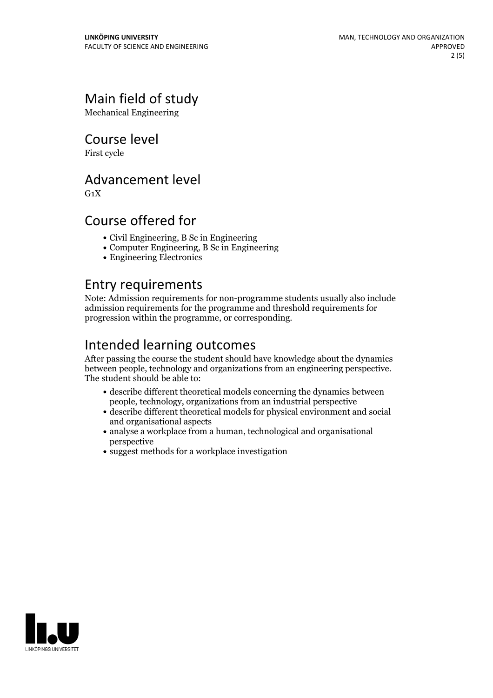# Main field of study

Mechanical Engineering

Course level

First cycle

#### Advancement level

 $G_1X$ 

#### Course offered for

- Civil Engineering, B Sc in Engineering
- Computer Engineering, B Sc in Engineering
- Engineering Electronics

#### Entry requirements

Note: Admission requirements for non-programme students usually also include admission requirements for the programme and threshold requirements for progression within the programme, or corresponding.

# Intended learning outcomes

After passing the course the student should have knowledge about the dynamics between people, technology and organizations from an engineering perspective. The student should be able to:

- describe different theoretical models concerning the dynamics between people, technology, organizations from an industrial perspective
- describe different theoretical models for physical environment and social and organisational aspects
- analyse a workplace from a human, technological and organisational perspective
- suggest methods for a workplace investigation

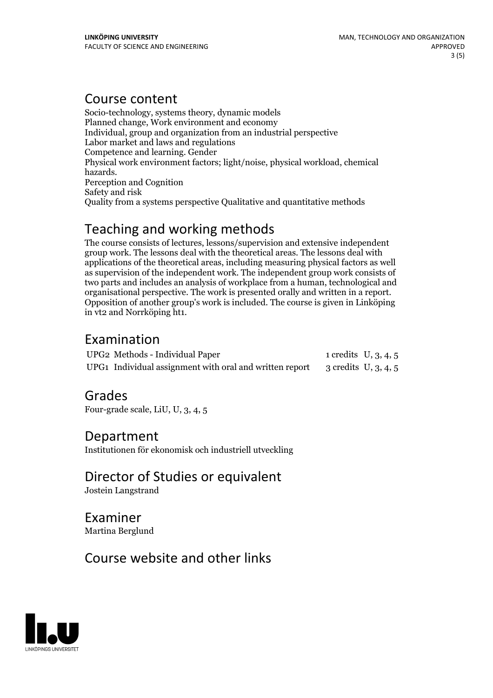#### Course content

Socio-technology, systems theory, dynamic models Planned change, Work environment and economy Individual, group and organization from an industrial perspective Labor market and laws and regulations Competence and learning. Gender Physical work environment factors; light/noise, physical workload, chemical hazards. Perception and Cognition Safety and risk Quality from a systems perspective Qualitative and quantitative methods

## Teaching and working methods

The course consists of lectures, lessons/supervision and extensive independent group work. The lessons deal with the theoretical areas. The lessons deal with applications of the theoretical areas, including measuring physical factors as well as supervision of the independent work. The independent group work consists of two parts and includes an analysis of workplace from a human, technological and organisational perspective. The work is presented orally and written in <sup>a</sup> report. Opposition of another group's work is included. The course is given in Linköping in vt2 and Norrköping ht1.

### Examination

| UPG2 Methods - Individual Paper                                                       | 1 credits $U, 3, 4, 5$ |  |
|---------------------------------------------------------------------------------------|------------------------|--|
| UPG1 Individual assignment with oral and written report $\qquad$ 3 credits U, 3, 4, 5 |                        |  |

#### Grades

Four-grade scale, LiU, U, 3, 4, 5

#### Department

Institutionen för ekonomisk och industriell utveckling

Director of Studies or equivalent Jostein Langstrand

Examiner Martina Berglund

# Course website and other links

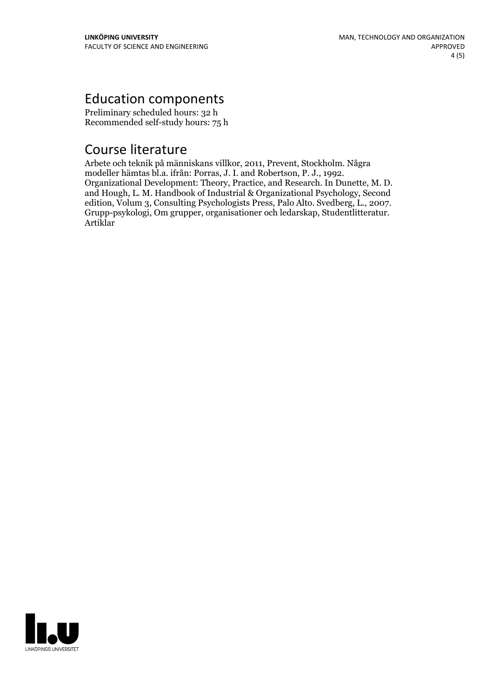# Education components

Preliminary scheduled hours: 32 h Recommended self-study hours: 75 h

### Course literature

Arbete och teknik på människans villkor, 2011, Prevent, Stockholm. Några Organizational Development: Theory, Practice, and Research. In Dunette, M. D. and Hough, L. M. Handbook of Industrial & Organizational Psychology, Second edition, Volum 3, Consulting Psychologists Press, Palo Alto. Svedber Grupp-psykologi, Om grupper, organisationer och ledarskap, Studentlitteratur.<br>Artiklar